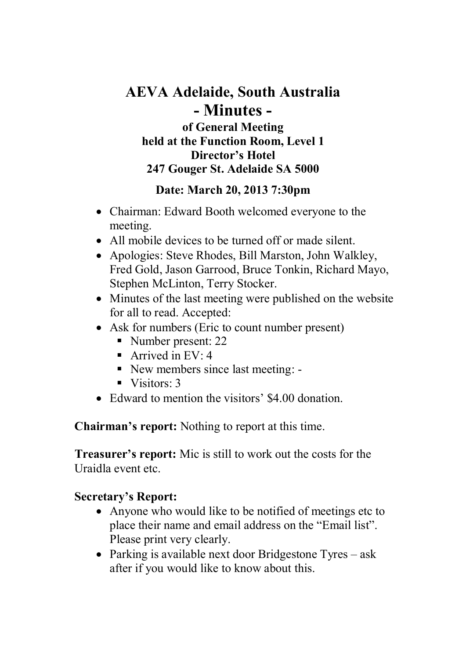# **AEVA Adelaide, South Australia - Minutes of General Meeting held at the Function Room, Level 1 Director's Hotel 247 Gouger St. Adelaide SA 5000**

## **Date: March 20, 2013 7:30pm**

- Chairman: Edward Booth welcomed everyone to the meeting.
- All mobile devices to be turned off or made silent.
- Apologies: Steve Rhodes, Bill Marston, John Walkley, Fred Gold, Jason Garrood, Bruce Tonkin, Richard Mayo, Stephen McLinton, Terry Stocker.
- Minutes of the last meeting were published on the website for all to read. Accepted:
- Ask for numbers (Eric to count number present)
	- Number present: 22
	- Arrived in  $EV: 4$
	- New members since last meeting: -
	- $\blacksquare$  Visitors: 3
- Edward to mention the visitors' \$4,00 donation.

**Chairman's report:** Nothing to report at this time.

 **Treasurer's report:** Mic is still to work out the costs for the Uraidla event etc.

## **Secretary's Report:**

- Anyone who would like to be notified of meetings etc to place their name and email address on the "Email list". Please print very clearly.
- Parking is available next door Bridgestone Tyres ask after if you would like to know about this.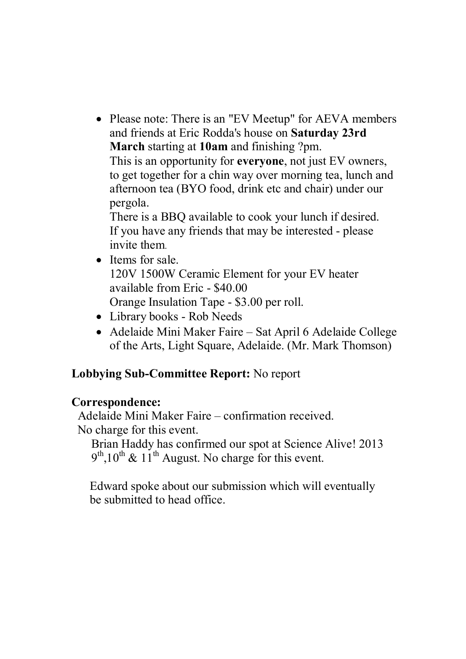• Please note: There is an "EV Meetup" for AEVA members and friends at Eric Rodda's house on **Saturday 23rd March** starting at **10am** and finishing ?pm. This is an opportunity for **everyone**, not just EV owners, to get together for a chin way over morning tea, lunch and afternoon tea (BYO food, drink etc and chair) under our pergola. There is a BBQ available to cook your lunch if desired.

If you have any friends that may be interested - please invite them.

- Items for sale. 120V 1500W Ceramic Element for your EV heater available from Eric - \$40.00 Orange Insulation Tape - \$3.00 per roll.
- Library books Rob Needs
- Adelaide Mini Maker Faire Sat April 6 Adelaide College of the Arts, Light Square, Adelaide. (Mr. Mark Thomson)

## **Lobbying Sub-Committee Report:** No report

#### **Correspondence:**

Adelaide Mini Maker Faire – confirmation received. No charge for this event.

Brian Haddy has confirmed our spot at Science Alive! 2013  $9<sup>th</sup>$ ,10<sup>th</sup> & 11<sup>th</sup> August. No charge for this event.

 Edward spoke about our submission which will eventually be submitted to head office.